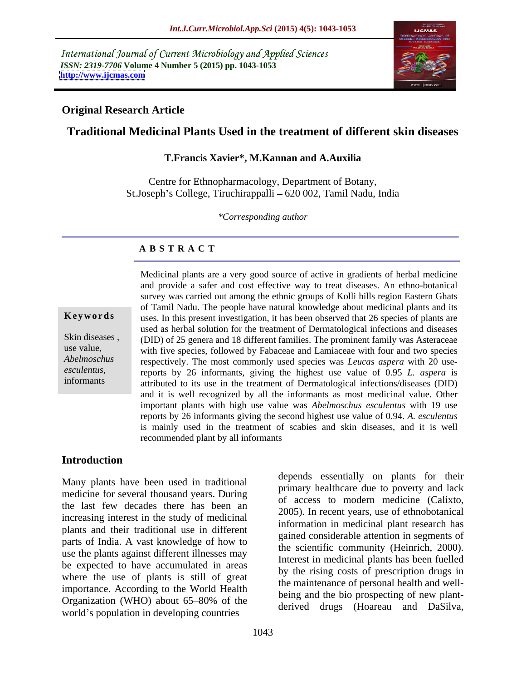International Journal of Current Microbiology and Applied Sciences *ISSN: 2319-7706* **Volume 4 Number 5 (2015) pp. 1043-1053 <http://www.ijcmas.com>**



### **Original Research Article**

# **Traditional Medicinal Plants Used in the treatment of different skin diseases**

#### **T.Francis Xavier\*, M.Kannan and A.Auxilia**

Centre for Ethnopharmacology, Department of Botany, St.Joseph's College, Tiruchirappalli – 620 002, Tamil Nadu, India

*\*Corresponding author*

# **A B S T R A C T**

*esculentus*, informants

Medicinal plants are a very good source of active in gradients of herbal medicine and provide a safer and cost effective way to treat diseases. An ethno-botanical survey was carried out among the ethnic groups of Kolli hills region Eastern Ghats of Tamil Nadu. The people have natural knowledge about medicinal plants and its uses. In this present investigation, it has been observed that 26 species of plants are **Ke ywo rds** used as herbal solution for the treatment of Dermatological infections and diseases Skin diseases, (DID) of 25 genera and 18 different families. The prominent family was Asteraceae with five species, followed by Fabaceae and Lamiaceae with four and two species use value, Abelmoschus respectively. The most commonly used species was *Leucas aspera* with 20 usereports by 26 informants, giving the highest use value of 0.95 *L. aspera* is attributed to its use in the treatment of Dermatological infections/diseases (DID) and it is well recognized by all the informants as most medicinal value. Other important plants with high use value was *Abelmoschus esculentus* with 19 use reports by 26 informants giving the second highest use value of 0.94. *A. esculentus* is mainly used in the treatment of scabies and skin diseases, and it is well recommended plant by all informants

### **Introduction**

Many plants have been used in traditional medicine for several thousand years. During the last few decades there has been an increasing interest in the study of medicinal plants and their traditional use in different parts of India. A vast knowledge of how to use the plants against different illnesses may be expected to have accumulated in areas where the use of plants is still of great importance. According to the World Health Organization (WHO) about  $65-80\%$  of the derived drugs. (Hence, and Define world's population in developing countries

depends essentially on plants for their primary healthcare due to poverty and lack of access to modern medicine (Calixto, 2005). In recent years, use of ethnobotanical information in medicinal plant research has gained considerable attention in segments of the scientific community (Heinrich, 2000). Interest in medicinal plants has been fuelled by the rising costs of prescription drugs in the maintenance of personal health and well being and the bio prospecting of new plant derived drugs (Hoareau and DaSilva,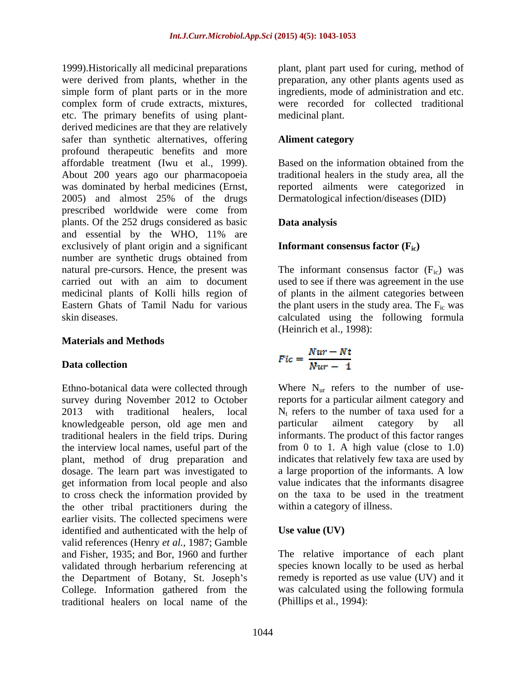1999).Historically all medicinal preparations plant, plant part used for curing, method of were derived from plants, whether in the preparation, any other plants agents used as simple form of plant parts or in the more complex form of crude extracts, mixtures, etc. The primary benefits of using plant derived medicines are that they are relatively safer than synthetic alternatives, offering **Aliment category** profound therapeutic benefits and more affordable treatment (Iwu et al., 1999). About 200 years ago our pharmacopoeia was dominated by herbal medicines (Ernst, reported ailments were categorized in 2005) and almost 25% of the drugs prescribed worldwide were come from plants. Of the 252 drugs considered as basic and essential by the WHO, 11% are exclusively of plant origin and a significant number are synthetic drugs obtained from natural pre-cursors. Hence, the present was The informant consensus factor  $(F_{ic})$  was carried out with an aim to document used to see if there was agreement in the use medicinal plants of Kolli hills region of of plants in the ailment categories between Eastern Ghats of Tamil Nadu for various the plant users in the study area. The  $F_{ic}$  was

### **Materials and Methods**

#### **Data collection**

knowledgeable person, old age men and the interview local names, useful part of the plant, method of drug preparation and to cross check the information provided by the other tribal practitioners during the earlier visits. The collected specimens were identified and authenticated with the help of Use value (UV) valid references (Henry *et al.,* 1987; Gamble and Fisher, 1935; and Bor, 1960 and further The relative importance of each plant validated through herbarium referencing at the Department of Botany, St. Joseph's College. Information gathered from the traditional healers on local name of the

ingredients, mode of administration and etc. were recorded for collected traditional medicinal plant.

#### **Aliment category**

Based on the information obtained from the traditional healers in the study area, all the Dermatological infection/diseases (DID)

### **Data analysis**

#### **Informant consensus factor (Fic)**

skin diseases. calculated using the following formula (Heinrich et al., 1998):

$$
Fic = \frac{Nur - Nt}{Nur - 1}
$$

Ethno-botanical data were collected through  $\mathbf{W}$  Where  $\mathbf{N}_{\text{ur}}$  refers to the number of usesurvey during November 2012 to October reports for a particular ailment category and 2013 with traditional healers, local  $N_t$  refers to the number of taxa used for a traditional healers in the field trips. During informants. The product of this factor ranges dosage. The learn part was investigated to a large proportion of the informants. A low get information from local people and also value indicates that the informants disagree particular ailment category by all from 0 to 1. A high value (close to 1.0) indicates that relatively few taxa are used by on the taxa to be used in the treatment within a category of illness.

## **Use value (UV)**

species known locally to be used as herbal remedy is reported as use value (UV) and it was calculated using the following formula (Phillips et al., 1994):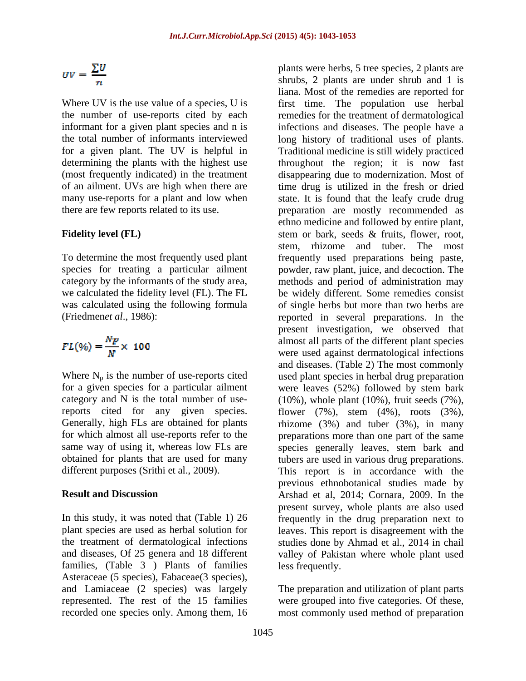$$
UV=\frac{\sum U}{n}
$$

$$
FL(\%) = \frac{Np}{N} \times 100
$$

Where  $N_p$  is the number of use-reports cited

families, (Table 3 ) Plants of families Asteraceae (5 species), Fabaceae(3 species), and Lamiaceae (2 species) was largely The preparation and utilization of plant parts represented. The rest of the 15 families were grouped into five categories. Of these,

Where UV is the use value of a species, U is first time. The population use herbal the number of use-reports cited by each remedies for the treatment of dermatological informant for a given plant species and n is infections and diseases. The people have a the total number of informants interviewed long history of traditional uses of plants. for a given plant. The UV is helpful in Traditional medicine is still widely practiced determining the plants with the highest use throughout the region; it is now fast (most frequently indicated) in the treatment disappearing due to modernization. Most of of an ailment. UVs are high when there are time drug is utilized in the fresh or dried many use-reports for a plant and low when state. It is found that the leafy crude drug there are few reports related to its use. preparation are mostly recommended as Fidelity level (FL) stem or bark, seeds & fruits, flower, root, To determine the most frequently used plant frequently used preparations being paste, species for treating a particular ailment powder, raw plant, juice, and decoction. The category by the informants of the study area, methods and period of administration may we calculated the fidelity level (FL). The FL be widely different. Some remedies consist was calculated using the following formula of single herbs but more than two herbs are (Friedmen*et al*., 1986): reported in several preparations. In the for a given species for a particular ailment were leaves (52%) followed by stem bark category and N is the total number of use-(10%), whole plant (10%), fruit seeds (7%), reports cited for any given species. flower (7%), stem (4%), roots (3%), Generally, high FLs are obtained for plants rhizome (3%) and tuber (3%), in many for which almost all use-reports refer to the preparations more than one part of the same same way of using it, whereas low FLs are species generally leaves, stem bark and obtained for plants that are used for many tubers are used in various drug preparations. different purposes (Srithi et al., 2009). This report is in accordance with the **Result and Discussion** Arshad et al, 2014; Cornara, 2009. In the In this study, it was noted that (Table 1) 26 frequently in the drug preparation next to plant species are used as herbal solution for leaves. This report is disagreement with the the treatment of dermatological infections studies done by Ahmad et al., 2014 in chail and diseases, Of 25 genera and 18 different valley of Pakistan where whole plant used plants were herbs, 5 tree species, 2 plants are shrubs, 2 plants are under shrub and 1 is liana. Most of the remedies are reported for ethno medicine and followed by entire plant, stem or bark, seeds & fruits, flower, root, stem, rhizome and tuber. The most present investigation, we observed that almost all parts of the different plant species were used against dermatological infections and diseases. (Table 2) The most commonly used plant species in herbal drug preparation previous ethnobotanical studies made by present survey, whole plants are also used less frequently.

recorded one species only. Among them, 16 most commonly used method of preparation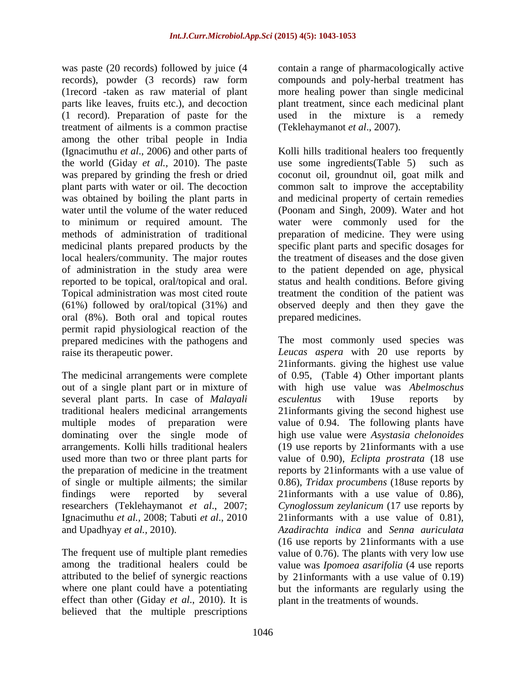was paste (20 records) followed by juice (4 contain a range of pharmacologically active records), powder (3 records) raw form compounds and poly-herbal treatment has (1record -taken as raw material of plant more healing power than single medicinal parts like leaves, fruits etc.), and decoction plant treatment, since each medicinal plant (1 record). Preparation of paste for the used in the mixture is a remedy treatment of ailments is a common practise among the other tribal people in India the world (Giday *et al.,* 2010). The paste medicinal plants prepared products by the local healers/community. The major routes oral (8%). Both oral and topical routes permit rapid physiological reaction of the

out of a single plant part or in mixture of several plant parts. In case of *Malayali* esculentus with 19use reports by Ignacimuthu *et al.,* 2008; Tabuti *et al*., 2010

effect than other (Giday *et al*., 2010). It is believed that the multiple prescriptions (Teklehaymanot *et al*., 2007).

(Ignacimuthu *et al*., 2006) and other parts of Kolli hills traditional healers too frequently was prepared by grinding the fresh or dried coconut oil, groundnut oil, goat milk and plant parts with water or oil. The decoction common salt to improve the acceptability was obtained by boiling the plant parts in and medicinal property of certain remedies water until the volume of the water reduced (Poonam and Singh, 2009). Water and hot to minimum or required amount. The water were commonly used for the methods of administration of traditional preparation of medicine. They were using of administration in the study area were to the patient depended on age, physical reported to be topical, oral/topical and oral. status and health conditions. Before giving Topical administration was most cited route treatment the condition of the patient was (61%) followed by oral/topical (31%) and observed deeply and then they gave the use some ingredients  $(Table 5)$ specific plant parts and specific dosages for the treatment of diseases and the dose given prepared medicines.

prepared medicines with the pathogens and The most commonly used species was raise its therapeutic power. *Leucas aspera* with 20 use reports by The medicinal arrangements were complete of 0.95, (Table 4) Other important plants traditional healers medicinal arrangements 21informants giving the second highest use multiple modes of preparation were value of 0.94. The following plants have dominating over the single mode of high use value were *Asystasia chelonoides* arrangements. Kolli hills traditional healers (19 use reports by 21informants with a use used more than two or three plant parts for value of 0.90), *Eclipta prostrata* (18 use the preparation of medicine in the treatment reports by 21 informants with a use value of of single or multiple ailments; the similar 0.86), *Tridax procumbens* (18use reports by findings were reported by several 21informants with a use value of 0.86), researchers (Teklehaymanot *et al*., 2007; *Cynoglossum zeylanicum* (17 use reports by and Upadhyay *et al.,* 2010). *Azadirachta indica* and *Senna auriculata* The frequent use of multiple plant remedies value of 0.76). The plants with very low use among the traditional healers could be value was *Ipomoea asarifolia* (4 use reports attributed to the belief of synergic reactions by 21informants with a use value of 0.19) where one plant could have a potentiating but the informants are regularly using the 21informants. giving the highest use value with high use value was *Abelmoschus esculentus* with 19use reports by 21informants with a use value of 0.81), (16 use reports by 21informants with a use plant in the treatments of wounds.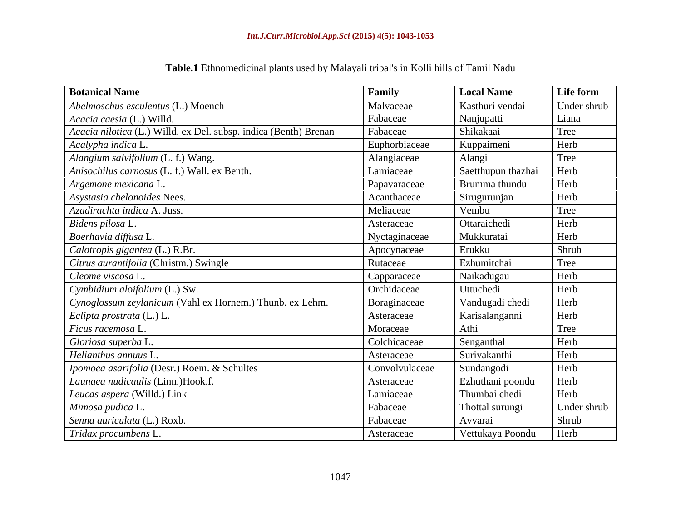| <b>Botanical Name</b>                                            | Family         | <b>Local Name</b>   | Life form    |
|------------------------------------------------------------------|----------------|---------------------|--------------|
| Abelmoschus esculentus (L.) Moench                               | Malvaceae      | Kasthuri vendai     | Under shrub  |
| Acacia caesia (L.) Willd.                                        | Fabaceae       | Nanjupatti          | Liana        |
| Acacia nilotica (L.) Willd. ex Del. subsp. indica (Benth) Brenan | Fabaceae       | Shikakaai           | Tree         |
| Acalypha indica L.                                               | Euphorbiaceae  | Kuppaimeni          | Herb         |
| Alangium salvifolium (L. f.) Wang.                               | Alangiaceae    | Alangi              | Tree         |
| Anisochilus carnosus (L. f.) Wall. ex Benth.                     | Lamiaceae      | Saetthupun thazhai  | Herb         |
| Argemone mexicana L.                                             | Papavaraceae   | Brumma thundu       | Herb         |
| Asystasia chelonoides Nees.                                      | Acanthaceae    | Sirugurunjan        | Herb         |
| Azadirachta indica A. Juss.                                      | Meliaceae      | Vembu               | Tree         |
| Bidens pilosa L.                                                 | Asteraceae     | <b>Ottaraichedi</b> | Herb         |
| Boerhavia diffusa L.                                             | Nyctaginaceae  | Mukkuratai          | Herb         |
| Calotropis gigantea (L.) R.Br.                                   | Apocynaceae    | Erukku              | <b>Shrub</b> |
| Citrus aurantifolia (Christm.) Swingle                           | Rutaceae       | Ezhumitchai         | Tree         |
| Cleome viscosa L.                                                | Capparaceae    | Naikadugau          | Herb         |
| Cymbidium aloifolium (L.) Sw.                                    | Orchidaceae    | Uttuchedi           | Herb         |
| Cynoglossum zeylanicum (Vahl ex Hornem.) Thunb. ex Lehm.         | Boraginaceae   | Vandugadi chedi     | Herb         |
| Eclipta prostrata (L.) L.                                        | Asteraceae     | Karisalanganni      | Herb         |
| Ficus racemosa L                                                 | Moraceae       | Athi                | Tree         |
| Gloriosa superba L.                                              | Colchicaceae   | Senganthal          | Herb         |
| Helianthus annuus L.                                             | Asteraceae     | Suriyakanthi        | Herb         |
| Ipomoea asarifolia (Desr.) Roem. & Schultes                      | Convolvulaceae | Sundangodi          | Herb         |
| Launaea nudicaulis (Linn.)Hook.f.                                | Asteraceae     | Ezhuthani poondu    | Herb         |
| Leucas aspera (Willd.) Link                                      | Lamiaceae      | Thumbai chedi       | Herb         |
| Mimosa pudica L.                                                 | Fabaceae       | Thottal surungi     | Under shrub  |
| Senna auriculata (L.) Roxb.                                      | Fabaceae       | Avvarai             | Shrub        |
| Tridax procumbens L                                              | Asteraceae     | Vettukaya Poondu    | Herb         |

# **Table.1** Ethnomedicinal plants used by Malayali tribal's in Kolli hills of Tamil Nadu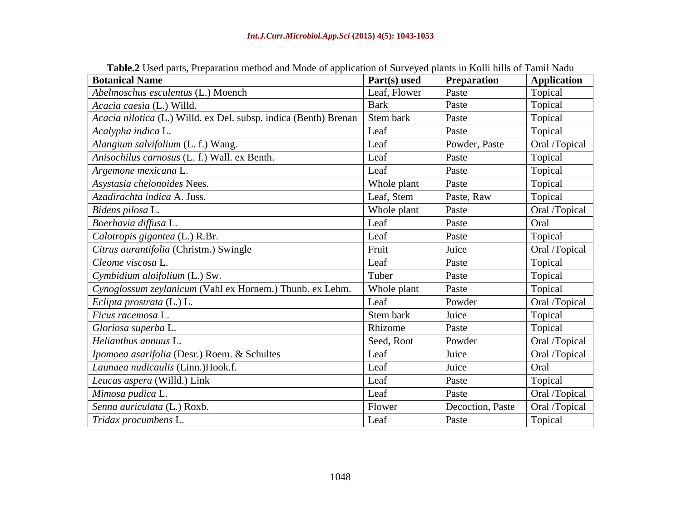| <b>Tubes Cook</b> parts, Freparation method and prode or approachon or barve jea plants in reom mills or Family France<br><b>Botanical Name</b> | <b>Part(s)</b> used | <b>Preparation</b> | <b>Application</b> |
|-------------------------------------------------------------------------------------------------------------------------------------------------|---------------------|--------------------|--------------------|
| Abelmoschus esculentus (L.) Moench                                                                                                              | Leaf, Flower        | Paste              | <b>Topical</b>     |
| Acacia caesia (L.) Willd.                                                                                                                       | Bark                | Paste              | Topical            |
| Acacia nilotica (L.) Willd. ex Del. subsp. indica (Benth) Brenan                                                                                | Stem bark           | Paste              | Topical            |
| Acalypha indica L.                                                                                                                              | Leaf                | Paste              | Topical            |
| Alangium salvifolium (L. f.) Wang.                                                                                                              | Leaf                | Powder, Paste      | Oral /Topical      |
| Anisochilus carnosus (L. f.) Wall. ex Benth.                                                                                                    | Leaf                | Paste              | Topical            |
| Argemone mexicana L.                                                                                                                            | Leaf                | Paste              | Topical            |
| Asystasia chelonoides Nees.                                                                                                                     | Whole plant         | Paste              | Topical            |
| Azadirachta indica A. Juss.                                                                                                                     | Leaf, Stem          | Paste, Raw         | Topical            |
| Bidens pilosa L.                                                                                                                                | Whole plant         | Paste              | Oral /Topical      |
| Boerhavia diffusa L.                                                                                                                            | Leaf                | Paste              | Oral               |
| Calotropis gigantea (L.) R.Br.                                                                                                                  | Leaf                | Paste              | Topical            |
| Citrus aurantifolia (Christm.) Swingle                                                                                                          | Fruit               | Juice              | Oral /Topical      |
| Cleome viscosa L.                                                                                                                               | Leaf                | Paste              | Topical            |
| Cymbidium aloifolium (L.) Sw.                                                                                                                   | Tuber               | Paste              | Topical            |
| Cynoglossum zeylanicum (Vahl ex Hornem.) Thunb. ex Lehm.                                                                                        | Whole plant         | Paste              | Topical            |
| $\vert$ <i>Eclipta prostrata</i> (L.) L.                                                                                                        | Leaf                | Powder             | Oral /Topical      |
| Ficus racemosa L.                                                                                                                               | Stem bark           | Juice              | Topical            |
| Gloriosa superba L.                                                                                                                             | Rhizome             | Paste              | Topical            |
| Helianthus annuus L.                                                                                                                            | Seed, Root          | Powder             | Oral /Topical      |
| Ipomoea asarifolia (Desr.) Roem. & Schultes                                                                                                     | Leaf                | Juice              | Oral /Topical      |
| Launaea nudicaulis (Linn.)Hook.f.                                                                                                               | Leaf                | Juice              | Oral               |
| Leucas aspera (Willd.) Link                                                                                                                     | Leaf                | Paste              | Topical            |
| Mimosa pudica L.                                                                                                                                | Leaf                | Paste              | Oral /Topical      |
| Senna auriculata (L.) Roxb.                                                                                                                     | Flower              | Decoction, Paste   | Oral /Topical      |
| $\mid$ Tridax procumbens L.                                                                                                                     | Leaf                | Paste              | Topical            |

**Table.2** Used parts, Preparation method and Mode of application of Surveyed plants in Kolli hills of Tamil Nadu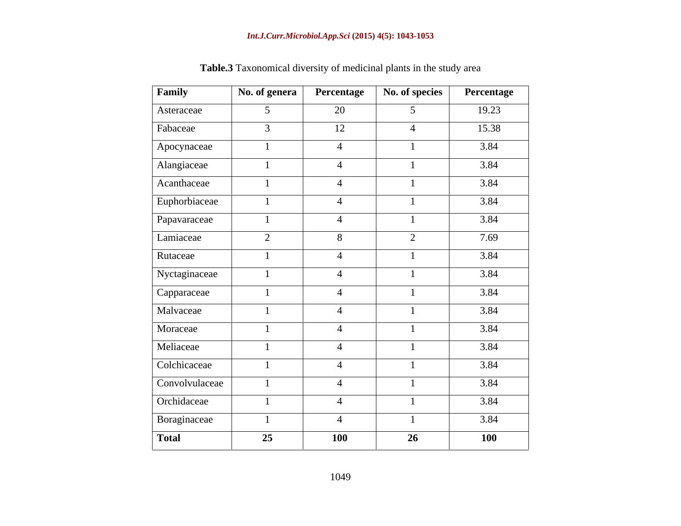| Family         | No. of genera  | Percentage     | No. of species  | Percentage |
|----------------|----------------|----------------|-----------------|------------|
| Asteraceae     | 5 <sup>5</sup> | 20             | $5\overline{)}$ | 19.23      |
| Fabaceae       | $\mathfrak{Z}$ | 12             | $\overline{4}$  | 15.38      |
| Apocynaceae    |                | $\overline{4}$ |                 | 3.84       |
| Alangiaceae    |                | $\overline{4}$ |                 | 3.84       |
| Acanthaceae    |                | $\overline{4}$ |                 | 3.84       |
| Euphorbiaceae  |                | $\overline{4}$ |                 | 3.84       |
| Papavaraceae   |                | $\overline{4}$ |                 | 3.84       |
| Lamiaceae      | $\overline{2}$ | 8              | 2               | 7.69       |
| Rutaceae       |                | $\overline{4}$ |                 | 3.84       |
| Nyctaginaceae  |                | $\overline{4}$ |                 | 3.84       |
| Capparaceae    |                | $\overline{4}$ |                 | 3.84       |
| Malvaceae      |                | $\overline{4}$ |                 | 3.84       |
| Moraceae       |                | $\overline{4}$ |                 | 3.84       |
| Meliaceae      |                | $\overline{4}$ |                 | 3.84       |
| Colchicaceae   |                | $\overline{4}$ |                 | 3.84       |
| Convolvulaceae |                | $\overline{4}$ |                 | 3.84       |
| Orchidaceae    |                | $\overline{4}$ |                 | 3.84       |
| Boraginaceae   |                | $\overline{4}$ |                 | 3.84       |
| <b>Total</b>   | 25             | <b>100</b>     | 26              | <b>100</b> |

**Table.3** Taxonomical diversity of medicinal plants in the study area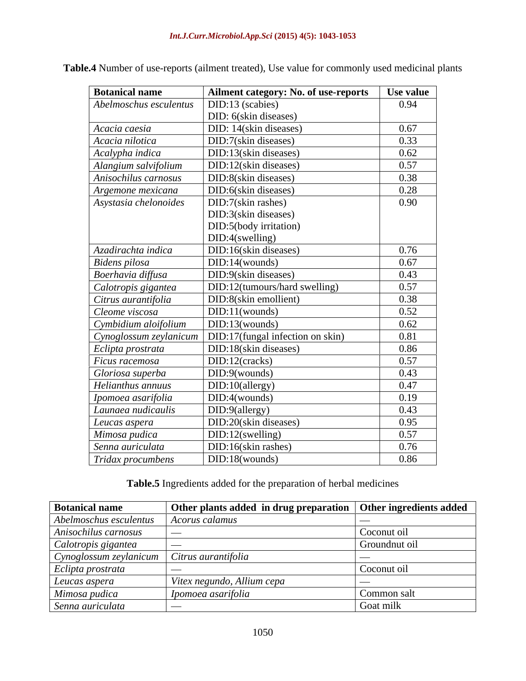| <b>Botanical name</b>  | Ailment category: No. of use-reports | Use value |
|------------------------|--------------------------------------|-----------|
| Abelmoschus esculentus | DID:13 (scabies)                     | 0.94      |
|                        | DID: 6(skin diseases)                |           |
| Acacia caesia          | DID: 14(skin diseases)               | 0.67      |
| Acacia nilotica        | DID:7(skin diseases)                 | 0.33      |
| Acalypha indica        | DID:13(skin diseases)                | 0.62      |
| Alangium salvifolium   | DID:12(skin diseases)                | 0.57      |
| Anisochilus carnosus   | DID:8(skin diseases)                 | 0.38      |
| Argemone mexicana      | DID:6(skin diseases)                 | 0.28      |
| Asystasia chelonoides  | DID:7(skin rashes)                   | 0.90      |
|                        | DID:3(skin diseases)                 |           |
|                        | DID:5(body irritation)               |           |
|                        | DID:4(swelling)                      |           |
| Azadirachta indica     | DID:16(skin diseases)                | 0.76      |
| Bidens pilosa          | DID:14(wounds)                       | 0.67      |
| Boerhavia diffusa      | DID:9(skin diseases)                 | 0.43      |
| Calotropis gigantea    | DID:12(tumours/hard swelling)        | 0.57      |
| Citrus aurantifolia    | DID:8(skin emollient)                | 0.38      |
| Cleome viscosa         | DID:11(wounds)                       | 0.52      |
| Cymbidium aloifolium   | DID:13(wounds)                       | 0.62      |
| Cynoglossum zeylanicum | DID:17(fungal infection on skin)     | 0.81      |
| Eclipta prostrata      | DID:18(skin diseases)                | 0.86      |
| Ficus racemosa         | $DID:12$ (cracks)                    | 0.57      |
| Gloriosa superba       | DID:9(wounds)                        | 0.43      |
| Helianthus annuus      | DID:10(allergy)                      | 0.47      |
| Ipomoea asarifolia     | DID:4(wounds)                        | 0.19      |
| Launaea nudicaulis     | DID:9(allergy)                       | 0.43      |
| Leucas aspera          | DID:20(skin diseases)                | 0.95      |
| Mimosa pudica          | DID:12(swelling)                     | 0.57      |
| Senna auriculata       | $DID:16$ (skin rashes)               | 0.76      |
| Tridax procumbens      | DID:18(wounds)                       | 0.86      |

**Table.4** Number of use-reports (ailment treated), Use value for commonly used medicinal plants

**Table.5** Ingredients added for the preparation of herbal medicines

| <b>Botanical name</b>                                          | Other plants added in drug preparation   Other ingredients added |               |
|----------------------------------------------------------------|------------------------------------------------------------------|---------------|
| Abelmoschus esculentus                                         | <i>Acorus calamus</i>                                            |               |
| Anisochilus carnosus                                           |                                                                  | Coconut oil   |
| Calotropis gigantea                                            |                                                                  | Groundnut oil |
| $\lfloor$ Cynoglossum zeylanicum $\lfloor$ Citrus aurantifolia |                                                                  |               |
| Eclipta prostrata                                              |                                                                  | Coconut oil   |
| Leucas aspera                                                  | Vitex negundo, Allium cepa                                       |               |
| Mimosa pudica                                                  | <i>Ipomoea asarifolia</i>                                        | Common salt   |
| Senna auriculata                                               | $\sim$ 0.000 mass $^{-1}$                                        | Goat milk     |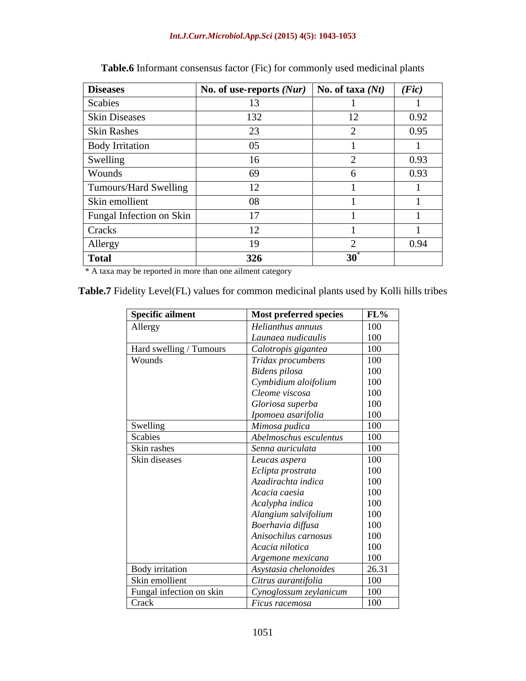#### *Int.J.Curr.Microbiol.App.Sci* **(2015) 4(5): 1043-1053**

| <b>Diseases</b>          | No. of use-reports $(Nur)$ | No. of taxa $(Nt)$ | (Fic) |
|--------------------------|----------------------------|--------------------|-------|
| Scabies                  | 13                         |                    |       |
| Skin Diseases            | 132                        | 12                 | 0.92  |
| <b>Skin Rashes</b>       | 23                         |                    | 0.95  |
| <b>Body Irritation</b>   | 05                         |                    |       |
| Swelling                 | 16                         |                    | 0.93  |
| Wounds                   | 69                         |                    | 0.93  |
| Tumours/Hard Swelling    | 12                         |                    |       |
| Skin emollient           | 08                         |                    |       |
| Fungal Infection on Skin | 17                         |                    |       |
| Cracks                   | 12                         |                    |       |
| Allergy                  | 19                         |                    | 0.94  |
| <b>Total</b>             | 326                        | $30^{\degree}$     |       |

# **Table.6** Informant consensus factor (Fic) for commonly used medicinal plants

\* A taxa may be reported in more than one ailment category

**Table.7** Fidelity Level(FL) values for common medicinal plants used by Kolli hills tribes

| Specific ailment         | Most preferred species | $\frac{\text{FL%}}{100}$ |
|--------------------------|------------------------|--------------------------|
| Allergy                  | Helianthus annuus      |                          |
|                          | Launaea nudicaulis     | 100                      |
| Hard swelling / Tumours  | Calotropis gigantea    | _____                    |
| Wounds                   | Tridax procumbens      | $\frac{100}{100}$        |
|                          | Bidens pilosa          | 100                      |
|                          | Cymbidium aloifolium   | 100                      |
|                          | Cleome viscosa         | 100                      |
|                          | Gloriosa superba       | 100                      |
|                          | Ipomoea asarifolia     |                          |
| Swelling                 | Mimosa pudica          | $\frac{100}{100}$        |
| Scabies                  | Abelmoschus esculentus | 100                      |
| Skin rashes              | Senna auriculata       |                          |
| Skin diseases            | $\mid$ Leucas aspera   | $\frac{100}{100}$        |
|                          | Eclipta prostrata      | 100                      |
|                          | Azadirachta indica     | 100                      |
|                          | Acacia caesia          | 100                      |
|                          | Acalypha indica        | 100                      |
|                          | Alangium salvifolium   | 100                      |
|                          | Boerhavia diffusa      | 100                      |
|                          | Anisochilus carnosus   | 100                      |
|                          | Acacia nilotica        | 100                      |
|                          |                        | 100                      |
|                          | Argemone mexicana      |                          |
| Body irritation          | Asystasia chelonoides  | $\frac{26.31}{100}$      |
| Skin emollient           | Citrus aurantifolia    |                          |
| Fungal infection on skin | Cynoglossum zeylanicum | 100                      |
| Crack                    | Ficus racemosa         | 100                      |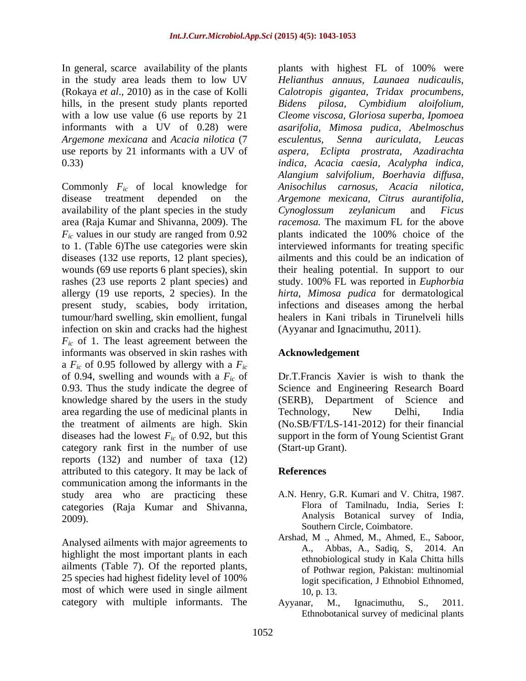In general, scarce availability of the plants plants with highest FL of 100% were hills, in the present study plants reported Bidens pilosa, Cymbidium aloifolium, *Argemone mexicana* and *Acacia nilotica* (7

Commonly *Fic* of local knowledge for disease treatment depended on the *Argemone mexicana, Citrus aurantifolia,* availability of the plant species in the study Cynoglossum zeylanicum and Ficus area (Raja Kumar and Shivanna, 2009). The *F<sub>ic</sub>* values in our study are ranged from 0.92 plants indicated the 100% choice of the to 1. (Table 6)The use categories were skin interviewed informants for treating specific diseases (132 use reports, 12 plant species), ailments and this could be an indication of wounds (69 use reports 6 plant species), skin their healing potential. In support to our rashes (23 use reports 2 plant species) and allergy (19 use reports, 2 species). In the *hirta, Mimosa pudica* for dermatological present study, scabies, body irritation, infections and diseases among the herbal tumour/hard swelling, skin emollient, fungal healers in Kani tribals in Tirunelveli hills infection on skin and cracks had the highest *Fic* of 1. The least agreement between the informants was observed in skin rashes with a *Fic* of 0.95 followed by allergy with a *Fic* of 0.94, swelling and wounds with a *Fic* of 0.93. Thus the study indicate the degree of knowledge shared by the users in the study (SERB), Department of Science and area regarding the use of medicinal plants in Technology, New Delhi, India the treatment of ailments are high. Skin (No.SB/FT/LS-141-2012) for their financial diseases had the lowest  $F_{ic}$  of 0.92, but this category rank first in the number of use reports (132) and number of taxa (12) attributed to this category. It may be lack of communication among the informants in the study area who are practicing these categories (Raja Kumar and Shivanna,  $2009$ ). Analysis Botanical survey of India,

highlight the most important plants in each ailments (Table 7). Of the reported plants, 25 species had highest fidelity level of 100% most of which were used in single ailment  $10, p. 13$ . category with multiple informants. The Ayyanar, M., Ignacimuthu, S., 2011.

in the study area leads them to low UV *Helianthus annuus, Launaea nudicaulis,*  (Rokaya *et al*., 2010) as in the case of Kolli *Calotropis gigantea,Tridax procumbens,* with a low use value (6 use reports by 21 *Cleome viscosa, Gloriosa superba, Ipomoea* informants with a UV of 0.28) were *asarifolia, Mimosa pudica, Abelmoschus* use reports by 21 informants with a UV of *aspera, Eclipta prostrata, Azadirachta* 0.33) *indica, Acacia caesia, Acalypha indica, Bidens pilosa, Cymbidium aloifolium, esculentus, Senna auriculata, Leucas Alangium salvifolium, Boerhavia dif usa, Anisochilus carnosus, Acacia nilotica, Cynoglossum zeylanicum* and *Ficus racemosa.* The maximum FL for the above plants indicated the 100% choice of the study. 100% FL was reported in *Euphorbia*  (Ayyanar and Ignacimuthu, 2011).

### **Acknowledgement**

Dr.T.Francis Xavier is wish to thank the Science and Engineering Research Board (SERB), Department of Science and Technology, New Delhi, India support in the form of Young Scientist Grant (Start-up Grant).

# **References**

- A.N. Henry, G.R. Kumari and V. Chitra, 1987. Flora of Tamilnadu, India, Series I: Southern Circle, Coimbatore.
- Analysed ailments with major agreements to Arshad, M., Ahmed, M., Ahmed, E., Saboor, A., Little during the contract of the contract of the contract of the contract of the contract of the contract of the contract of the con Arshad, M ., Ahmed, M., Ahmed, E., Saboor, A., Abbas, A., Sadiq, S, 2014. An ethnobiological study in Kala Chitta hills of Pothwar region, Pakistan: multinomial logit specification, J Ethnobiol Ethnomed, 10, p. 13.
	- Ayyanar, M., Ignacimuthu, S., 2011. Ethnobotanical survey of medicinal plants